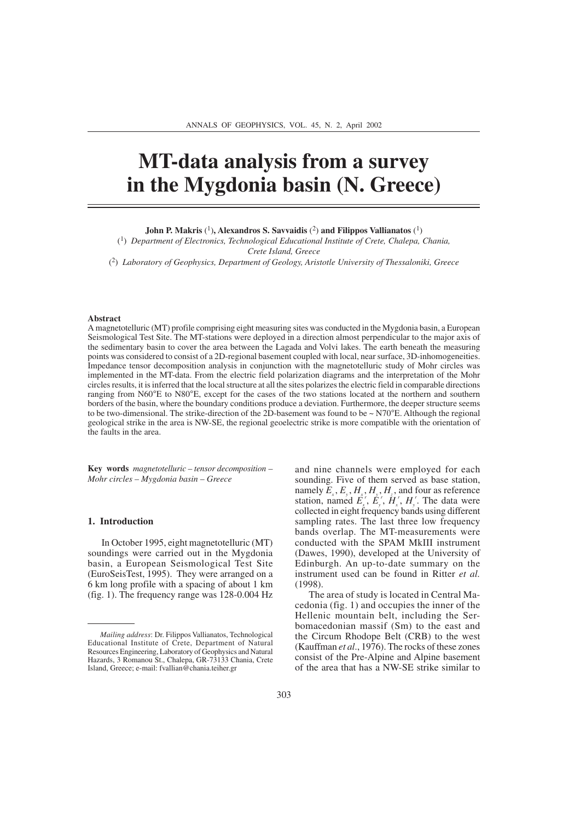# **MT-data analysis from a survey in the Mygdonia basin (N. Greece)**

**John P. Makris** (1)**, Alexandros S. Savvaidis** (2) **and Filippos Vallianatos** (1)

(1) *Department of Electronics, Technological Educational Institute of Crete, Chalepa, Chania, Crete Island, Greece*

(2) *Laboratory of Geophysics, Department of Geology, Aristotle University of Thessaloniki, Greece*

#### **Abstract**

A magnetotelluric (MT) profile comprising eight measuring sites was conducted in the Mygdonia basin, a European Seismological Test Site. The MT-stations were deployed in a direction almost perpendicular to the major axis of the sedimentary basin to cover the area between the Lagada and Volvi lakes. The earth beneath the measuring points was considered to consist of a 2D-regional basement coupled with local, near surface, 3D-inhomogeneities. Impedance tensor decomposition analysis in conjunction with the magnetotelluric study of Mohr circles was implemented in the MT-data. From the electric field polarization diagrams and the interpretation of the Mohr circles results, it is inferred that the local structure at all the sites polarizes the electric field in comparable directions ranging from N60°E to N80°E, except for the cases of the two stations located at the northern and southern borders of the basin, where the boundary conditions produce a deviation. Furthermore, the deeper structure seems to be two-dimensional. The strike-direction of the 2D-basement was found to be  $\sim$  N70 $\degree$ E. Although the regional geological strike in the area is NW-SE, the regional geoelectric strike is more compatible with the orientation of the faults in the area.

**Key words** *magnetotelluric – tensor decomposition – Mohr circles – Mygdonia basin – Greece*

#### **1. Introduction**

In October 1995, eight magnetotelluric (MT) soundings were carried out in the Mygdonia basin, a European Seismological Test Site (EuroSeisTest, 1995). They were arranged on a 6 km long profile with a spacing of about 1 km (fig. 1). The frequency range was 128-0.004 Hz and nine channels were employed for each sounding. Five of them served as base station, namely  $E_x$ ,  $E_y$ ,  $H_x$ ,  $H_y$ ,  $H_z$ , and four as reference station, named  $\vec{E}_x^r$ ,  $\vec{E}_y^r$ ,  $\vec{H}_x^r$ ,  $H_y^r$ . The data were collected in eight frequency bands using different sampling rates. The last three low frequency bands overlap. The MT-measurements were conducted with the SPAM MkIII instrument (Dawes, 1990), developed at the University of Edinburgh. An up-to-date summary on the instrument used can be found in Ritter *et al.* (1998).

The area of study is located in Central Macedonia (fig. 1) and occupies the inner of the Hellenic mountain belt, including the Serbomacedonian massif (Sm) to the east and the Circum Rhodope Belt (CRB) to the west (Kauffman *et al*., 1976). The rocks of these zones consist of the Pre-Alpine and Alpine basement of the area that has a NW-SE strike similar to

*Mailing address*: Dr. Filippos Vallianatos, Technological Educational Institute of Crete, Department of Natural Resources Engineering, Laboratory of Geophysics and Natural Hazards, 3 Romanou St., Chalepa, GR-73133 Chania, Crete Island, Greece; e-mail: fvallian@chania.teiher.gr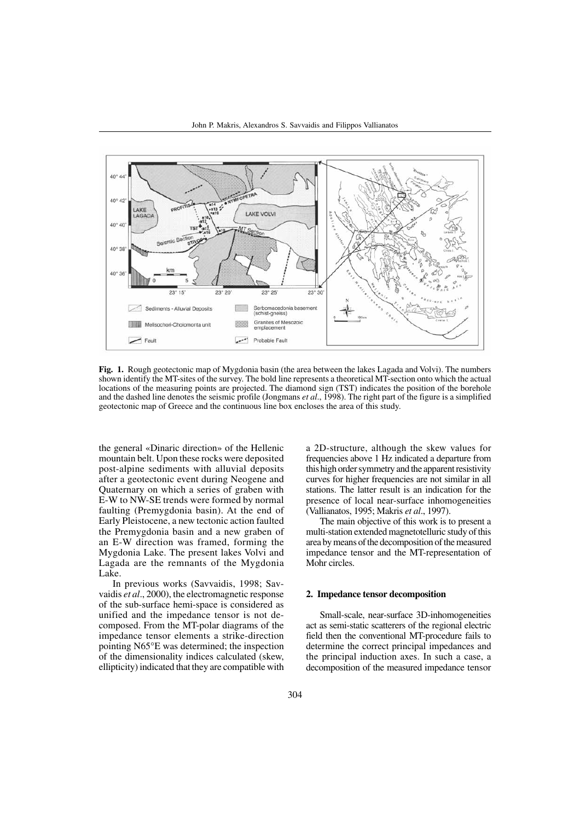

**Fig. 1.** Rough geotectonic map of Mygdonia basin (the area between the lakes Lagada and Volvi). The numbers shown identify the MT-sites of the survey. The bold line represents a theoretical MT-section onto which the actual locations of the measuring points are projected. The diamond sign (TST) indicates the position of the borehole and the dashed line denotes the seismic profile (Jongmans *et al*., 1998). The right part of the figure is a simplified geotectonic map of Greece and the continuous line box encloses the area of this study.

the general «Dinaric direction» of the Hellenic mountain belt. Upon these rocks were deposited post-alpine sediments with alluvial deposits after a geotectonic event during Neogene and Quaternary on which a series of graben with E-W to NW-SE trends were formed by normal faulting (Premygdonia basin). At the end of Early Pleistocene, a new tectonic action faulted the Premygdonia basin and a new graben of an E-W direction was framed, forming the Mygdonia Lake. The present lakes Volvi and Lagada are the remnants of the Mygdonia Lake.

In previous works (Savvaidis, 1998; Savvaidis *et al*., 2000), the electromagnetic response of the sub-surface hemi-space is considered as unified and the impedance tensor is not decomposed. From the MT-polar diagrams of the impedance tensor elements a strike-direction pointing N65°E was determined; the inspection of the dimensionality indices calculated (skew, ellipticity) indicated that they are compatible with

a 2D-structure, although the skew values for frequencies above 1 Hz indicated a departure from this high order symmetry and the apparent resistivity curves for higher frequencies are not similar in all stations. The latter result is an indication for the presence of local near-surface inhomogeneities (Vallianatos, 1995; Makris *et al*., 1997).

The main objective of this work is to present a multi-station extended magnetotelluric study of this area by means of the decomposition of the measured impedance tensor and the MT-representation of Mohr circles.

### **2. Impedance tensor decomposition**

Small-scale, near-surface 3D-inhomogeneities act as semi-static scatterers of the regional electric field then the conventional MT-procedure fails to determine the correct principal impedances and the principal induction axes. In such a case, a decomposition of the measured impedance tensor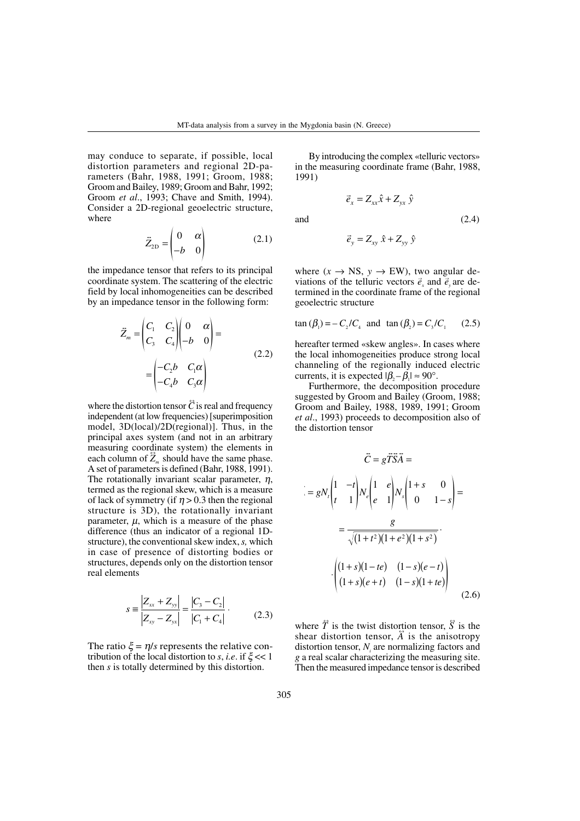may conduce to separate, if possible, local distortion parameters and regional 2D-parameters (Bahr, 1988, 1991; Groom, 1988; Groom and Bailey, 1989; Groom and Bahr, 1992; Groom *et al*., 1993; Chave and Smith, 1994). Consider a 2D-regional geoelectric structure, where

$$
\ddot{Z}_{2\text{D}} = \begin{pmatrix} 0 & \alpha \\ -b & 0 \end{pmatrix} \tag{2.1}
$$

 $\sim$ 

the impedance tensor that refers to its principal coordinate system. The scattering of the electric field by local inhomogeneities can be described by an impedance tensor in the following form:

$$
\ddot{Z}_m = \begin{pmatrix} C_1 & C_2 \\ C_3 & C_4 \end{pmatrix} \begin{pmatrix} 0 & \alpha \\ -b & 0 \end{pmatrix} =
$$
\n
$$
= \begin{pmatrix} -C_2b & C_1\alpha \\ -C_4b & C_3\alpha \end{pmatrix}
$$
\n(2.2)

where the distortion tensor  $\ddot{C}$  is real and frequency independent (at low frequencies) [superimposition model, 3D(local)/2D(regional)]. Thus, in the principal axes system (and not in an arbitrary measuring coordinate system) the elements in each column of  $\overline{Z}_m$  should have the same phase. A set of parameters is defined (Bahr, 1988, 1991). The rotationally invariant scalar parameter,  $\eta$ , termed as the regional skew, which is a measure of lack of symmetry (if  $\eta > 0.3$  then the regional structure is 3D), the rotationally invariant parameter,  $\mu$ , which is a measure of the phase difference (thus an indicator of a regional 1Dstructure), the conventional skew index, *s,* which in case of presence of distorting bodies or structures, depends only on the distortion tensor real elements

$$
s \equiv \frac{|Z_{xx} + Z_{yy}|}{|Z_{xy} - Z_{yx}|} = \frac{|C_3 - C_2|}{|C_1 + C_4|}. \tag{2.3}
$$

The ratio  $\xi = \eta/s$  represents the relative contribution of the local distortion to *s*, *i.e.* if  $\xi \ll 1$ then *s* is totally determined by this distortion.

By introducing the complex «telluric vectors» in the measuring coordinate frame (Bahr, 1988, 1991)

$$
\vec{e}_x = Z_{xx}\hat{x} + Z_{yx}\hat{y}
$$

and  $(2.4)$ 

$$
\vec{e}_y = Z_{xy} \hat{x} + Z_{yy} \hat{y}
$$

where  $(x \rightarrow NS, y \rightarrow EW)$ , two angular deviations of the telluric vectors  $\vec{e}_x$  and  $\vec{e}_y$  are determined in the coordinate frame of the regional geoelectric structure

$$
\tan (\beta_1) = -C_2/C_4
$$
 and  $\tan (\beta_2) = C_3/C_1$  (2.5)

hereafter termed «skew angles». In cases where the local inhomogeneities produce strong local channeling of the regionally induced electric currents, it is expected  $|\beta, -\beta| \approx 90^\circ$ .

Furthermore, the decomposition procedure suggested by Groom and Bailey (Groom, 1988; Groom and Bailey, 1988, 1989, 1991; Groom *et al*., 1993) proceeds to decomposition also of the distortion tensor

$$
\vec{C} = g\vec{T}\vec{S}\vec{A} =
$$
  
\n
$$
= gN_t \begin{pmatrix} 1 & -t \\ t & 1 \end{pmatrix} N_e \begin{pmatrix} 1 & e \\ e & 1 \end{pmatrix} N_s \begin{pmatrix} 1+s & 0 \\ 0 & 1-s \end{pmatrix} =
$$
  
\n
$$
= \frac{g}{\sqrt{(1+t^2)(1+e^2)(1+s^2)}}.
$$
  
\n
$$
\cdot \begin{pmatrix} (1+s)(1-te) & (1-s)(e-t) \\ (1+s)(e+t) & (1-s)(1+te) \end{pmatrix}
$$
(2.6)

where  $\hat{T}$  is the twist distortion tensor,  $\hat{S}$  is the shear distortion tensor,  $\overrightarrow{A}$  is the anisotropy distortion tensor,  $N_i$  are normalizing factors and *g* a real scalar characterizing the measuring site. Then the measured impedance tensor is described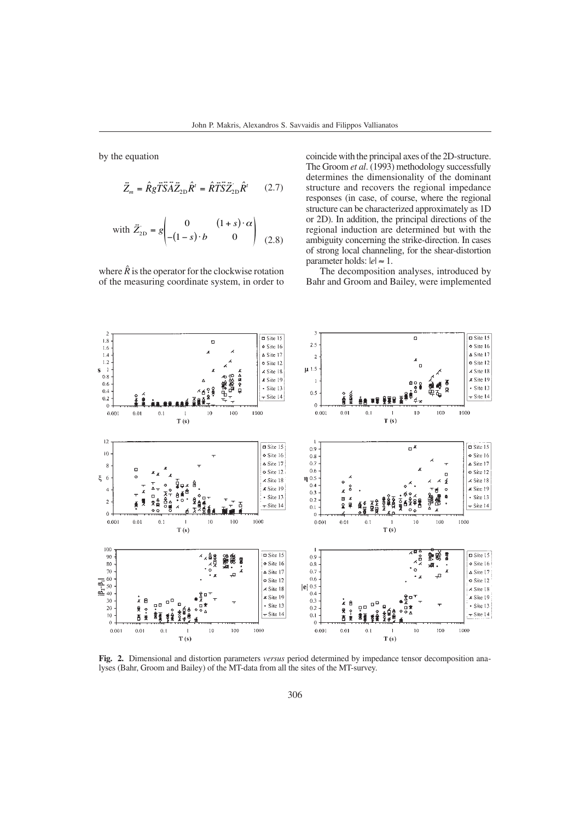by the equation

$$
\vec{Z}_m = \hat{R} g \vec{T} \vec{S} \vec{A} \vec{Z}_{2D} \hat{R}^t = \hat{R} \vec{T} \vec{S} \vec{Z}_{2D} \hat{R}^t \qquad (2.7)
$$

with 
$$
\vec{Z}_{2D} = g \begin{pmatrix} 0 & (1+s) \cdot \alpha \\ -(1-s) \cdot b & 0 \end{pmatrix}
$$
 (2.8)

where  $\hat{R}$  is the operator for the clockwise rotation of the measuring coordinate system, in order to coincide with the principal axes of the 2D-structure. The Groom *et al*. (1993) methodology successfully determines the dimensionality of the dominant structure and recovers the regional impedance responses (in case, of course, where the regional structure can be characterized approximately as 1D or 2D). In addition, the principal directions of the regional induction are determined but with the ambiguity concerning the strike-direction. In cases of strong local channeling, for the shear-distortion parameter holds:  $|e| \approx 1$ .

The decomposition analyses, introduced by Bahr and Groom and Bailey, were implemented



**Fig. 2.** Dimensional and distortion parameters *versus* period determined by impedance tensor decomposition analyses (Bahr, Groom and Bailey) of the MT-data from all the sites of the MT-survey.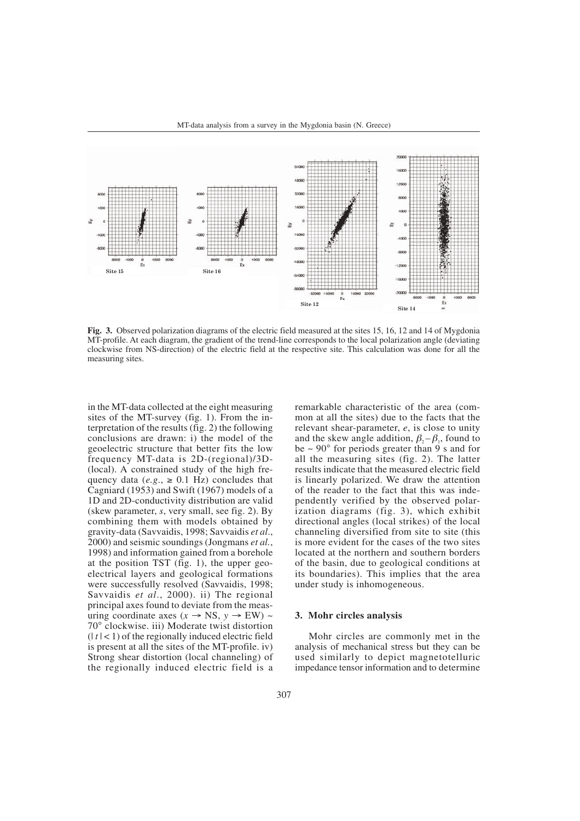

**Fig. 3.** Observed polarization diagrams of the electric field measured at the sites 15, 16, 12 and 14 of Mygdonia MT-profile. At each diagram, the gradient of the trend-line corresponds to the local polarization angle (deviating clockwise from NS-direction) of the electric field at the respective site. This calculation was done for all the measuring sites.

in the MT-data collected at the eight measuring sites of the MT-survey (fig. 1). From the interpretation of the results (fig. 2) the following conclusions are drawn: i) the model of the geoelectric structure that better fits the low frequency MT-data is 2D-(regional)/3D- (local). A constrained study of the high frequency data ( $e.g., \ge 0.1$  Hz) concludes that Cagniard (1953) and Swift (1967) models of a 1D and 2D-conductivity distribution are valid (skew parameter, *s*, very small, see fig. 2). By combining them with models obtained by gravity-data (Savvaidis, 1998; Savvaidis *et al*., 2000) and seismic soundings (Jongmans *et al.*, 1998) and information gained from a borehole at the position TST (fig. 1), the upper geoelectrical layers and geological formations were successfully resolved (Savvaidis, 1998; Savvaidis *et al*., 2000). ii) The regional principal axes found to deviate from the measuring coordinate axes ( $x \rightarrow NS$ ,  $y \rightarrow EW$ ) ~ 70° clockwise. iii) Moderate twist distortion  $(|t| < 1)$  of the regionally induced electric field is present at all the sites of the MT-profile. iv) Strong shear distortion (local channeling) of the regionally induced electric field is a remarkable characteristic of the area (common at all the sites) due to the facts that the relevant shear-parameter, *e*, is close to unity and the skew angle addition,  $\beta_2 - \beta_1$ , found to be  $\sim 90^{\circ}$  for periods greater than 9 s and for all the measuring sites (fig. 2). The latter results indicate that the measured electric field is linearly polarized. We draw the attention of the reader to the fact that this was independently verified by the observed polarization diagrams (fig. 3), which exhibit directional angles (local strikes) of the local channeling diversified from site to site (this is more evident for the cases of the two sites located at the northern and southern borders of the basin, due to geological conditions at its boundaries). This implies that the area under study is inhomogeneous.

## **3. Mohr circles analysis**

Mohr circles are commonly met in the analysis of mechanical stress but they can be used similarly to depict magnetotelluric impedance tensor information and to determine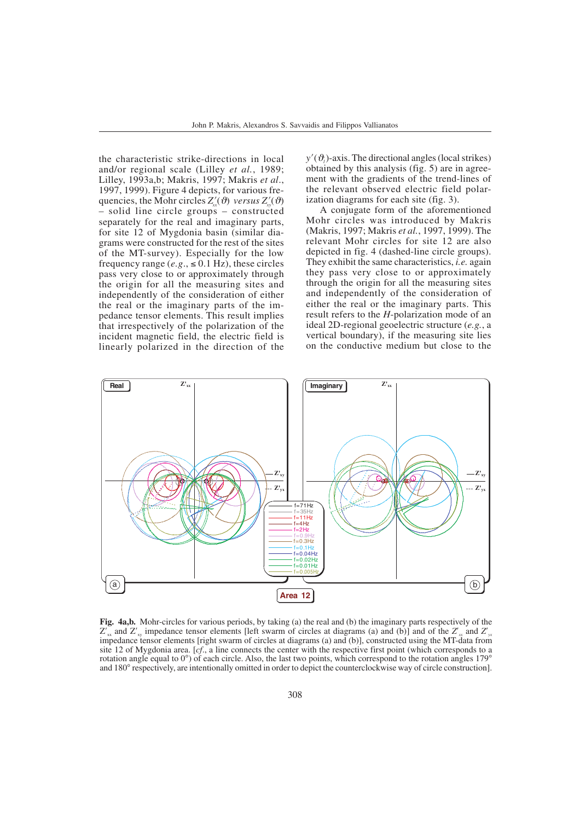the characteristic strike-directions in local and/or regional scale (Lilley *et al.*, 1989; Lilley, 1993a,b; Makris, 1997; Makris *et al*., 1997, 1999). Figure 4 depicts, for various frequencies, the Mohr circles  $Z'_{xx}(\vartheta)$  *versus*  $Z'_{xy}(\vartheta)$ – solid line circle groups – constructed separately for the real and imaginary parts, for site 12 of Mygdonia basin (similar diagrams were constructed for the rest of the sites of the MT-survey). Especially for the low frequency range  $(e.g., \le 0.1 \text{ Hz})$ , these circles pass very close to or approximately through the origin for all the measuring sites and independently of the consideration of either the real or the imaginary parts of the impedance tensor elements. This result implies that irrespectively of the polarization of the incident magnetic field, the electric field is linearly polarized in the direction of the

 $y'(\theta)$ -axis. The directional angles (local strikes) obtained by this analysis (fig. 5) are in agreement with the gradients of the trend-lines of the relevant observed electric field polarization diagrams for each site (fig. 3).

A conjugate form of the aforementioned Mohr circles was introduced by Makris (Makris, 1997; Makris *et al.*, 1997, 1999). The relevant Mohr circles for site 12 are also depicted in fig. 4 (dashed-line circle groups). They exhibit the same characteristics, *i.e.* again they pass very close to or approximately through the origin for all the measuring sites and independently of the consideration of either the real or the imaginary parts. This result refers to the *H*-polarization mode of an ideal 2D-regional geoelectric structure (*e.g.*, a vertical boundary), if the measuring site lies on the conductive medium but close to the



**Fig. 4a,b.** Mohr-circles for various periods, by taking (a) the real and (b) the imaginary parts respectively of the  $Z'_{xx}$  and  $Z'_{xy}$  impedance tensor elements [left swarm of circles at diagrams (a) and (b)] and of the  $Z'_{xx}$  and  $Z'_{yx}$ impedance tensor elements [right swarm of circles at diagrams (a) and (b)], constructed using the MT-data from site 12 of Mygdonia area. [*cf*., a line connects the center with the respective first point (which corresponds to a rotation angle equal to 0°) of each circle. Also, the last two points, which correspond to the rotation angles 179° and 180° respectively, are intentionally omitted in order to depict the counterclockwise way of circle construction].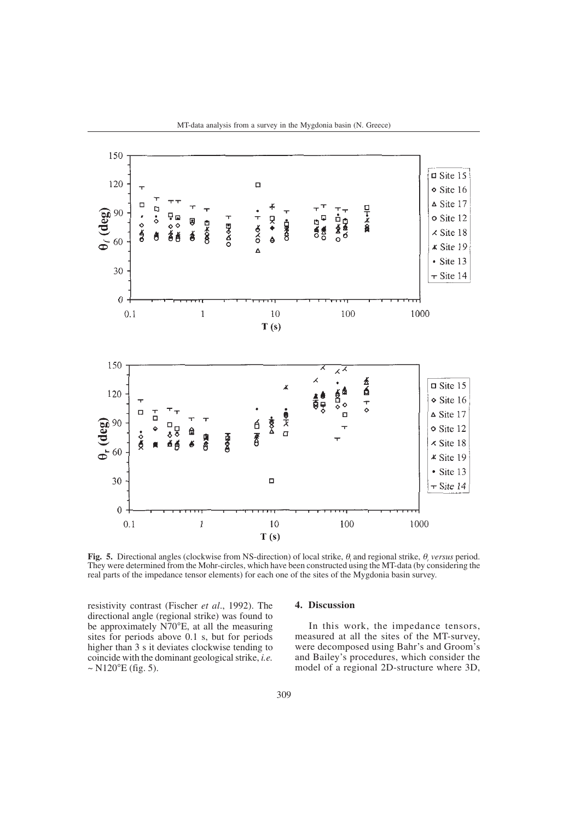

**Fig. 5.** Directional angles (clockwise from NS-direction) of local strike,  $\theta_i$  and regional strike,  $\theta_i$  *versus* period. They were determined from the Mohr-circles, which have been constructed using the MT-data (by considering the real parts of the impedance tensor elements) for each one of the sites of the Mygdonia basin survey.

10

 $T(s)$ 

resistivity contrast (Fischer *et al*., 1992). The directional angle (regional strike) was found to be approximately N70°E, at all the measuring sites for periods above 0.1 s, but for periods higher than 3 s it deviates clockwise tending to coincide with the dominant geological strike, *i.e.*  $\sim$  N120 $^{\circ}$ E (fig. 5).

 $\,1$ 

 $\theta$  $0.1$ 

# **4. Discussion**

100

In this work, the impedance tensors, measured at all the sites of the MT-survey, were decomposed using Bahr's and Groom's and Bailey's procedures, which consider the model of a regional 2D-structure where 3D,

1000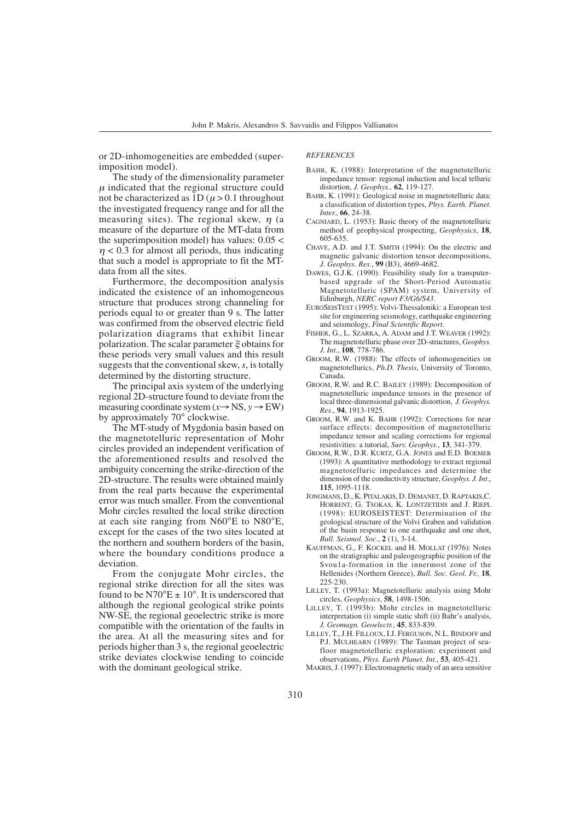or 2D-inhomogeneities are embedded (superimposition model).

 $\eta$  < 0.3 for almost all periods, thus indicating that such a model is appropriate to fit the MT-

Furthermore, the decomposition analysis indicated the existence of an inhomogeneous structure that produces strong channeling for periods equal to or greater than 9 s. The latter was confirmed from the observed electric field polarization diagrams that exhibit linear polarization. The scalar parameter  $\xi$  obtains for these periods very small values and this result suggests that the conventional skew, *s*, is totally determined by the distorting structure.

The principal axis system of the underlying regional 2D-structure found to deviate from the measuring coordinate system  $(x \rightarrow NS, y \rightarrow EW)$ 

The MT-study of Mygdonia basin based on the magnetotelluric representation of Mohr circles provided an independent verification of the aforementioned results and resolved the ambiguity concerning the strike-direction of the 2D-structure. The results were obtained mainly

by approximately 70° clockwise.

data from all the sites.

*REFERENCES* BAHR, K. (1988): Interpretation of the magnetotelluric

- The study of the dimensionality parameter  $\mu$  indicated that the regional structure could not be characterized as  $1D(\mu > 0.1)$  throughout the investigated frequency range and for all the measuring sites). The regional skew,  $\eta$  (a measure of the departure of the MT-data from the superimposition model) has values: 0.05 < impedance tensor: regional induction and local telluric distortion, *J. Geophys.,* **62**, 119-127. BAHR, K. (1991): Geological noise in magnetotelluric data: a classification of distortion types, *Phys. Earth. Planet. Inter.*, **66**, 24-38. CAGNIARD, L. (1953): Basic theory of the magnetotelluric method of geophysical prospecting, *Geophysics*, **18**, 605-635.
	- CHAVE, A.D. and J.T. SMITH (1994): On the electric and magnetic galvanic distortion tensor decompositions, *J. Geophys. Res.*, **99** (B3), 4669-4682.
	- DAWES, G.J.K. (1990): Feasibility study for a transputerbased upgrade of the Short-Period Automatic Magnetotelluric (SPAM) system, University of Edinburgh, *NERC report F3/G6/S43*.
	- EUROSEISTEST (1995): Volvi-Thessaloniki: a European test site for engineering seismology, earthquake engineering and seismology, *Final Scientific Report*.
	- FISHER, G., L. SZARKA, A. ADAM and J.T. WEAVER (1992): The magnetotelluric phase over 2D-structures, *Geophys. J. Int.*, **108**, 778-786.
	- GROOM, R.W. (1988): The effects of inhomogeneities on magnetotellurics, *Ph.D. Thesis*, University of Toronto, Canada.
	- GROOM, R.W. and R.C. BAILEY (1989): Decomposition of magnetotelluric impedance tensors in the presence of local three-dimensional galvanic distortion, *J. Geophys. Res*., **94**, 1913-1925.
	- GROOM, R.W. and K. BAHR (1992): Corrections for near surface effects: decomposition of magnetotelluric impedance tensor and scaling corrections for regional resistivities: a tutorial, *Surv. Geophys.*, **13**, 341-379.
	- GROOM, R.W., D.R. KURTZ, G.A. JONES and E.D. BOEMER (1993): A quantitative methodology to extract regional magnetotelluric impedances and determine the dimension of the conductivity structure, *Geophys. J. Int*., **115**, 1095-1118.
	- JONGMANS, D., K. PITALAKIS, D. DEMANET, D. RAPTAKIS,C. HORRENT, G. TSOKAS, K. LONTZETIDIS and J. RIEPL (1998): EUROSEISTEST: Determination of the geological structure of the Volvi Graben and validation of the basin response to one earthquake and one shot, *Bull. Seismol. Soc.*, **2** (1), 3-14.
	- KAUFFMAN, G., F. KOCKEL and H. MOLLAT (1976): Notes on the stratigraphic and paleogeographic position of the Svou1a-formation in the innermost zone of the Hellenides (Northern Greece), *Bull. Soc. Geol. Fr.,* **18**, 225-230.
	- LILLEY, T. (1993a): Magnetotelluric analysis using Mohr circles, *Geophysics*, **58**, 1498-1506.
	- LILLEY, T. (1993b): Mohr circles in magnetotelluric interpretation (i) simple static shift (ii) Bahr's analysis, *J. Geomagn. Geoelectr.*, **45**, 833-839.
	- LILLEY, T., J.H. FILLOUX, I.J. FERGUSON, N.L. BINDOFF and P.J. MULHEARN (1989): The Tasman project of seafloor magnetotelluric exploration: experiment and observations, *Phys. Earth Planet. Int.*, **53**, 405-421.
	- MAKRIS, J. (1997): Electromagnetic study of an area sensitive

from the real parts because the experimental error was much smaller. From the conventional Mohr circles resulted the local strike direction

at each site ranging from N60°E to N80°E, except for the cases of the two sites located at the northern and southern borders of the basin, where the boundary conditions produce a deviation.

From the conjugate Mohr circles, the regional strike direction for all the sites was found to be N70 $^{\circ}E \pm 10^{\circ}$ . It is underscored that although the regional geological strike points NW-SE, the regional geoelectric strike is more compatible with the orientation of the faults in the area. At all the measuring sites and for periods higher than 3 s, the regional geoelectric strike deviates clockwise tending to coincide with the dominant geological strike.